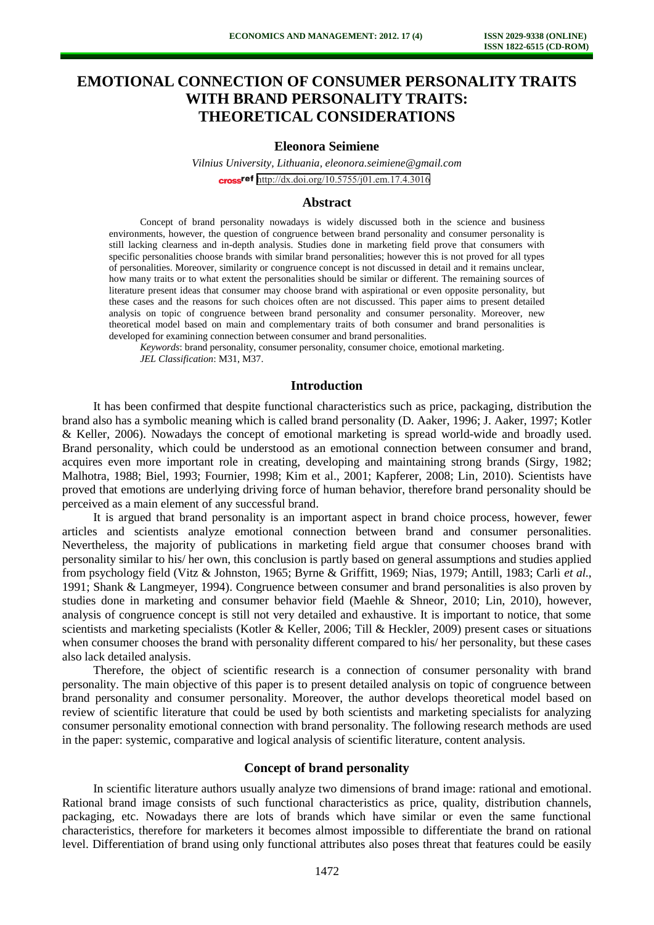# **EMOTIONAL CONNECTION OF CONSUMER PERSONALITY TRAITS WITH BRAND PERSONALITY TRAITS: THEORETICAL CONSIDERATIONS**

#### **Eleonora Seimiene**

*Vilnius University, Lithuania, eleonora.seimiene@gmail.com*  cross<sup>ref</sup> <http://dx.doi.org/10.5755/j01.em.17.4.3016>

#### **Abstract**

Concept of brand personality nowadays is widely discussed both in the science and business environments, however, the question of congruence between brand personality and consumer personality is still lacking clearness and in-depth analysis. Studies done in marketing field prove that consumers with specific personalities choose brands with similar brand personalities; however this is not proved for all types of personalities. Moreover, similarity or congruence concept is not discussed in detail and it remains unclear, how many traits or to what extent the personalities should be similar or different. The remaining sources of literature present ideas that consumer may choose brand with aspirational or even opposite personality, but these cases and the reasons for such choices often are not discussed. This paper aims to present detailed analysis on topic of congruence between brand personality and consumer personality. Moreover, new theoretical model based on main and complementary traits of both consumer and brand personalities is developed for examining connection between consumer and brand personalities.

*Keywords*: brand personality, consumer personality, consumer choice, emotional marketing. *JEL Classification*: M31, M37.

## **Introduction**

It has been confirmed that despite functional characteristics such as price, packaging, distribution the brand also has a symbolic meaning which is called brand personality (D. Aaker, 1996; J. Aaker, 1997; Kotler & Keller, 2006). Nowadays the concept of emotional marketing is spread world-wide and broadly used. Brand personality, which could be understood as an emotional connection between consumer and brand, acquires even more important role in creating, developing and maintaining strong brands (Sirgy, 1982; Malhotra, 1988; Biel, 1993; Fournier, 1998; Kim et al., 2001; Kapferer, 2008; Lin, 2010). Scientists have proved that emotions are underlying driving force of human behavior, therefore brand personality should be perceived as a main element of any successful brand.

It is argued that brand personality is an important aspect in brand choice process, however, fewer articles and scientists analyze emotional connection between brand and consumer personalities. Nevertheless, the majority of publications in marketing field argue that consumer chooses brand with personality similar to his/ her own, this conclusion is partly based on general assumptions and studies applied from psychology field (Vitz & Johnston, 1965; Byrne & Griffitt, 1969; Nias, 1979; Antill, 1983; Carli *et al.*, 1991; Shank & Langmeyer, 1994). Congruence between consumer and brand personalities is also proven by studies done in marketing and consumer behavior field (Maehle & Shneor, 2010; Lin, 2010), however, analysis of congruence concept is still not very detailed and exhaustive. It is important to notice, that some scientists and marketing specialists (Kotler & Keller, 2006; Till & Heckler, 2009) present cases or situations when consumer chooses the brand with personality different compared to his/ her personality, but these cases also lack detailed analysis.

Therefore, the object of scientific research is a connection of consumer personality with brand personality. The main objective of this paper is to present detailed analysis on topic of congruence between brand personality and consumer personality. Moreover, the author develops theoretical model based on review of scientific literature that could be used by both scientists and marketing specialists for analyzing consumer personality emotional connection with brand personality. The following research methods are used in the paper: systemic, comparative and logical analysis of scientific literature, content analysis.

## **Concept of brand personality**

In scientific literature authors usually analyze two dimensions of brand image: rational and emotional. Rational brand image consists of such functional characteristics as price, quality, distribution channels, packaging, etc. Nowadays there are lots of brands which have similar or even the same functional characteristics, therefore for marketers it becomes almost impossible to differentiate the brand on rational level. Differentiation of brand using only functional attributes also poses threat that features could be easily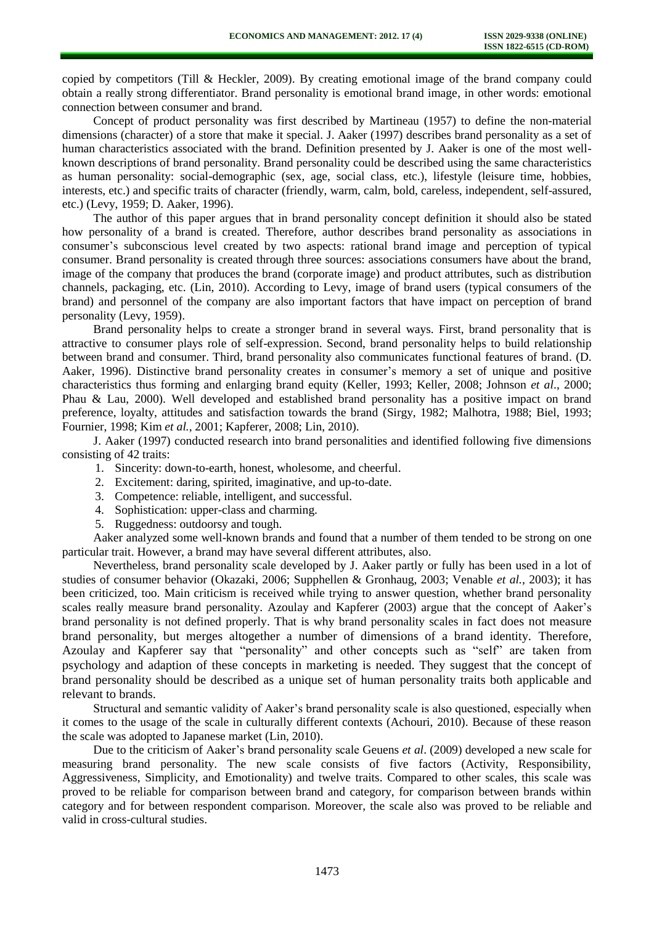copied by competitors (Till & Heckler, 2009). By creating emotional image of the brand company could obtain a really strong differentiator. Brand personality is emotional brand image, in other words: emotional connection between consumer and brand.

Concept of product personality was first described by Martineau (1957) to define the non-material dimensions (character) of a store that make it special. J. Aaker (1997) describes brand personality as a set of human characteristics associated with the brand. Definition presented by J. Aaker is one of the most wellknown descriptions of brand personality. Brand personality could be described using the same characteristics as human personality: social-demographic (sex, age, social class, etc.), lifestyle (leisure time, hobbies, interests, etc.) and specific traits of character (friendly, warm, calm, bold, careless, independent, self-assured, etc.) (Levy, 1959; D. Aaker, 1996).

The author of this paper argues that in brand personality concept definition it should also be stated how personality of a brand is created. Therefore, author describes brand personality as associations in consumer's subconscious level created by two aspects: rational brand image and perception of typical consumer. Brand personality is created through three sources: associations consumers have about the brand, image of the company that produces the brand (corporate image) and product attributes, such as distribution channels, packaging, etc. (Lin, 2010). According to Levy, image of brand users (typical consumers of the brand) and personnel of the company are also important factors that have impact on perception of brand personality (Levy, 1959).

Brand personality helps to create a stronger brand in several ways. First, brand personality that is attractive to consumer plays role of self-expression. Second, brand personality helps to build relationship between brand and consumer. Third, brand personality also communicates functional features of brand. (D. Aaker, 1996). Distinctive brand personality creates in consumer's memory a set of unique and positive characteristics thus forming and enlarging brand equity (Keller, 1993; Keller, 2008; Johnson *et al*., 2000; Phau & Lau, 2000). Well developed and established brand personality has a positive impact on brand preference, loyalty, attitudes and satisfaction towards the brand (Sirgy, 1982; Malhotra, 1988; Biel, 1993; Fournier, 1998; Kim *et al.*, 2001; Kapferer, 2008; Lin, 2010).

J. Aaker (1997) conducted research into brand personalities and identified following five dimensions consisting of 42 traits:

- 1. Sincerity: down-to-earth, honest, wholesome, and cheerful.
- 2. Excitement: daring, spirited, imaginative, and up-to-date.
- 3. Competence: reliable, intelligent, and successful.
- 4. Sophistication: upper-class and charming.
- 5. Ruggedness: outdoorsy and tough.

Aaker analyzed some well-known brands and found that a number of them tended to be strong on one particular trait. However, a brand may have several different attributes, also.

Nevertheless, brand personality scale developed by J. Aaker partly or fully has been used in a lot of studies of consumer behavior (Okazaki, 2006; Supphellen & Gronhaug, 2003; Venable *et al.*, 2003); it has been criticized, too. Main criticism is received while trying to answer question, whether brand personality scales really measure brand personality. Azoulay and Kapferer (2003) argue that the concept of Aaker's brand personality is not defined properly. That is why brand personality scales in fact does not measure brand personality, but merges altogether a number of dimensions of a brand identity. Therefore, Azoulay and Kapferer say that "personality" and other concepts such as "self" are taken from psychology and adaption of these concepts in marketing is needed. They suggest that the concept of brand personality should be described as a unique set of human personality traits both applicable and relevant to brands.

Structural and semantic validity of Aaker's brand personality scale is also questioned, especially when it comes to the usage of the scale in culturally different contexts (Achouri, 2010). Because of these reason the scale was adopted to Japanese market (Lin, 2010).

Due to the criticism of Aaker's brand personality scale Geuens *et al*. (2009) developed a new scale for measuring brand personality. The new scale consists of five factors (Activity, Responsibility, Aggressiveness, Simplicity, and Emotionality) and twelve traits. Compared to other scales, this scale was proved to be reliable for comparison between brand and category, for comparison between brands within category and for between respondent comparison. Moreover, the scale also was proved to be reliable and valid in cross-cultural studies.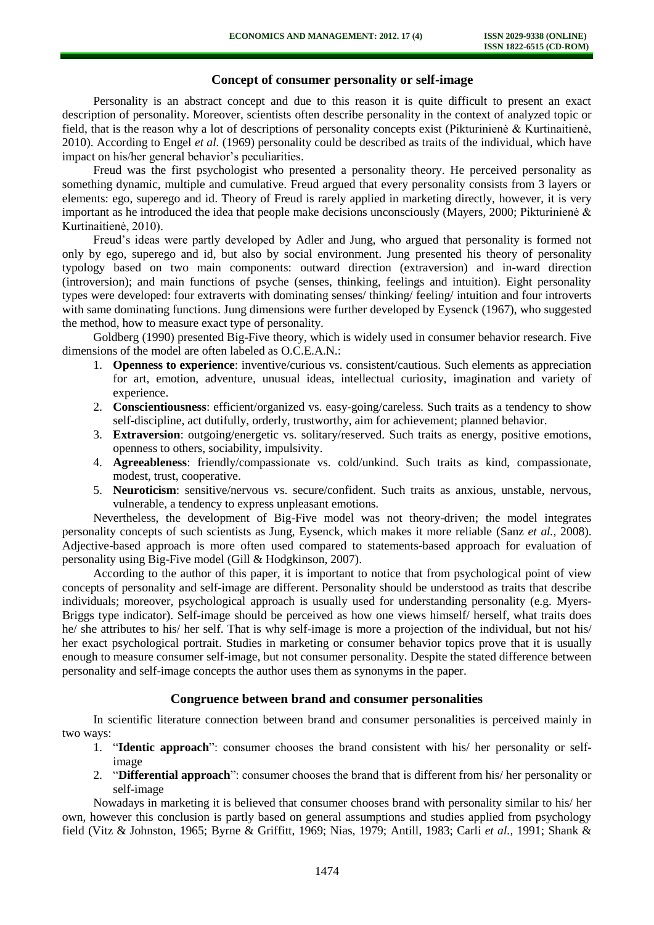## **Concept of consumer personality or self-image**

Personality is an abstract concept and due to this reason it is quite difficult to present an exact description of personality. Moreover, scientists often describe personality in the context of analyzed topic or field, that is the reason why a lot of descriptions of personality concepts exist (Pikturinienė & Kurtinaitienė, 2010). According to Engel *et al.* (1969) personality could be described as traits of the individual, which have impact on his/her general behavior's peculiarities.

Freud was the first psychologist who presented a personality theory. He perceived personality as something dynamic, multiple and cumulative. Freud argued that every personality consists from 3 layers or elements: ego, superego and id. Theory of Freud is rarely applied in marketing directly, however, it is very important as he introduced the idea that people make decisions unconsciously (Mayers, 2000; Pikturinienė & Kurtinaitienė, 2010).

Freud's ideas were partly developed by Adler and Jung, who argued that personality is formed not only by ego, superego and id, but also by social environment. Jung presented his theory of personality typology based on two main components: outward direction (extraversion) and in-ward direction (introversion); and main functions of psyche (senses, thinking, feelings and intuition). Eight personality types were developed: four extraverts with dominating senses/ thinking/ feeling/ intuition and four introverts with same dominating functions. Jung dimensions were further developed by Eysenck (1967), who suggested the method, how to measure exact type of personality.

Goldberg (1990) presented Big-Five theory, which is widely used in consumer behavior research. Five dimensions of the model are often labeled as O.C.E.A.N.:

- 1. **Openness to experience**: inventive/curious vs. consistent/cautious. Such elements as appreciation for art, emotion, adventure, unusual ideas, intellectual curiosity, imagination and variety of experience.
- 2. **Conscientiousness**: efficient/organized vs. easy-going/careless. Such traits as a tendency to show self-discipline, act dutifully, orderly, trustworthy, aim for achievement; planned behavior.
- 3. **Extraversion**: outgoing/energetic vs. solitary/reserved. Such traits as energy, positive emotions, openness to others, sociability, impulsivity.
- 4. **Agreeableness**: friendly/compassionate vs. cold/unkind. Such traits as kind, compassionate, modest, trust, cooperative.
- 5. **Neuroticism**: sensitive/nervous vs. secure/confident. Such traits as anxious, unstable, nervous, vulnerable, a tendency to express unpleasant emotions.

Nevertheless, the development of Big-Five model was not theory-driven; the model integrates personality concepts of such scientists as Jung, Eysenck, which makes it more reliable (Sanz *et al.*, 2008). Adjective-based approach is more often used compared to statements-based approach for evaluation of personality using Big-Five model (Gill & Hodgkinson, 2007).

According to the author of this paper, it is important to notice that from psychological point of view concepts of personality and self-image are different. Personality should be understood as traits that describe individuals; moreover, psychological approach is usually used for understanding personality (e.g. Myers-Briggs type indicator). Self-image should be perceived as how one views himself/ herself, what traits does he/ she attributes to his/ her self. That is why self-image is more a projection of the individual, but not his/ her exact psychological portrait. Studies in marketing or consumer behavior topics prove that it is usually enough to measure consumer self-image, but not consumer personality. Despite the stated difference between personality and self-image concepts the author uses them as synonyms in the paper.

## **Congruence between brand and consumer personalities**

In scientific literature connection between brand and consumer personalities is perceived mainly in two ways:

- 1. "**Identic approach**": consumer chooses the brand consistent with his/ her personality or selfimage
- 2. "**Differential approach**": consumer chooses the brand that is different from his/ her personality or self-image

Nowadays in marketing it is believed that consumer chooses brand with personality similar to his/ her own, however this conclusion is partly based on general assumptions and studies applied from psychology field (Vitz & Johnston, 1965; Byrne & Griffitt, 1969; Nias, 1979; Antill, 1983; Carli *et al.*, 1991; Shank &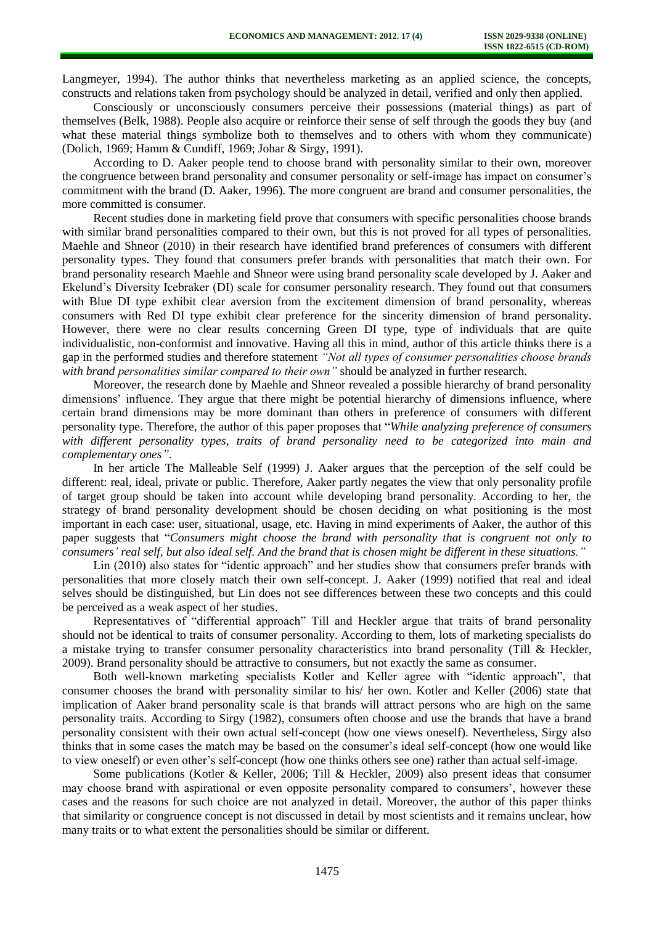Langmeyer, 1994). The author thinks that nevertheless marketing as an applied science, the concepts, constructs and relations taken from psychology should be analyzed in detail, verified and only then applied.

Consciously or unconsciously consumers perceive their possessions (material things) as part of themselves (Belk, 1988). People also acquire or reinforce their sense of self through the goods they buy (and what these material things symbolize both to themselves and to others with whom they communicate) (Dolich, 1969; Hamm & Cundiff, 1969; Johar & Sirgy, 1991).

According to D. Aaker people tend to choose brand with personality similar to their own, moreover the congruence between brand personality and consumer personality or self-image has impact on consumer's commitment with the brand (D. Aaker, 1996). The more congruent are brand and consumer personalities, the more committed is consumer.

Recent studies done in marketing field prove that consumers with specific personalities choose brands with similar brand personalities compared to their own, but this is not proved for all types of personalities. Maehle and Shneor (2010) in their research have identified brand preferences of consumers with different personality types. They found that consumers prefer brands with personalities that match their own. For brand personality research Maehle and Shneor were using brand personality scale developed by J. Aaker and Ekelund's Diversity Icebraker (DI) scale for consumer personality research. They found out that consumers with Blue DI type exhibit clear aversion from the excitement dimension of brand personality, whereas consumers with Red DI type exhibit clear preference for the sincerity dimension of brand personality. However, there were no clear results concerning Green DI type, type of individuals that are quite individualistic, non-conformist and innovative. Having all this in mind, author of this article thinks there is a gap in the performed studies and therefore statement *"Not all types of consumer personalities choose brands with brand personalities similar compared to their own"* should be analyzed in further research.

Moreover, the research done by Maehle and Shneor revealed a possible hierarchy of brand personality dimensions' influence. They argue that there might be potential hierarchy of dimensions influence, where certain brand dimensions may be more dominant than others in preference of consumers with different personality type. Therefore, the author of this paper proposes that "*While analyzing preference of consumers with different personality types, traits of brand personality need to be categorized into main and complementary ones"*.

In her article The Malleable Self (1999) J. Aaker argues that the perception of the self could be different: real, ideal, private or public. Therefore, Aaker partly negates the view that only personality profile of target group should be taken into account while developing brand personality. According to her, the strategy of brand personality development should be chosen deciding on what positioning is the most important in each case: user, situational, usage, etc. Having in mind experiments of Aaker, the author of this paper suggests that "*Consumers might choose the brand with personality that is congruent not only to consumers' real self, but also ideal self. And the brand that is chosen might be different in these situations."*

Lin (2010) also states for "identic approach" and her studies show that consumers prefer brands with personalities that more closely match their own self-concept. J. Aaker (1999) notified that real and ideal selves should be distinguished, but Lin does not see differences between these two concepts and this could be perceived as a weak aspect of her studies.

Representatives of "differential approach" Till and Heckler argue that traits of brand personality should not be identical to traits of consumer personality. According to them, lots of marketing specialists do a mistake trying to transfer consumer personality characteristics into brand personality (Till & Heckler, 2009). Brand personality should be attractive to consumers, but not exactly the same as consumer.

Both well-known marketing specialists Kotler and Keller agree with "identic approach", that consumer chooses the brand with personality similar to his/ her own. Kotler and Keller (2006) state that implication of Aaker brand personality scale is that brands will attract persons who are high on the same personality traits. According to Sirgy (1982), consumers often choose and use the brands that have a brand personality consistent with their own actual self-concept (how one views oneself). Nevertheless, Sirgy also thinks that in some cases the match may be based on the consumer's ideal self-concept (how one would like to view oneself) or even other's self-concept (how one thinks others see one) rather than actual self-image.

Some publications (Kotler & Keller, 2006; Till & Heckler, 2009) also present ideas that consumer may choose brand with aspirational or even opposite personality compared to consumers', however these cases and the reasons for such choice are not analyzed in detail. Moreover, the author of this paper thinks that similarity or congruence concept is not discussed in detail by most scientists and it remains unclear, how many traits or to what extent the personalities should be similar or different.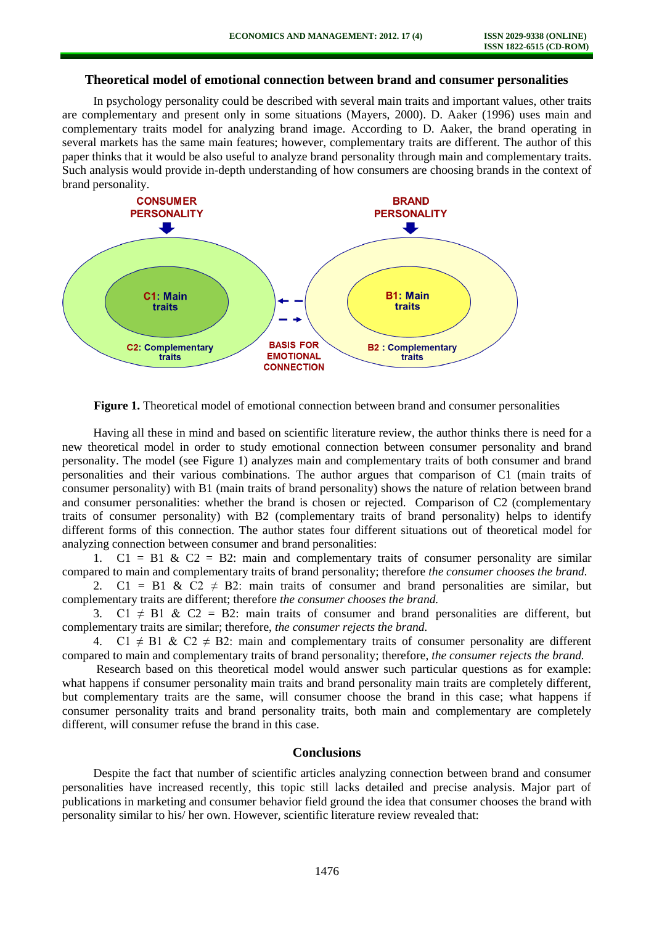# **Theoretical model of emotional connection between brand and consumer personalities**

In psychology personality could be described with several main traits and important values, other traits are complementary and present only in some situations (Mayers, 2000). D. Aaker (1996) uses main and complementary traits model for analyzing brand image. According to D. Aaker, the brand operating in several markets has the same main features; however, complementary traits are different. The author of this paper thinks that it would be also useful to analyze brand personality through main and complementary traits. Such analysis would provide in-depth understanding of how consumers are choosing brands in the context of brand personality.



**Figure 1.** Theoretical model of emotional connection between brand and consumer personalities

Having all these in mind and based on scientific literature review, the author thinks there is need for a new theoretical model in order to study emotional connection between consumer personality and brand personality. The model (see Figure 1) analyzes main and complementary traits of both consumer and brand personalities and their various combinations. The author argues that comparison of C1 (main traits of consumer personality) with B1 (main traits of brand personality) shows the nature of relation between brand and consumer personalities: whether the brand is chosen or rejected. Comparison of C2 (complementary traits of consumer personality) with B2 (complementary traits of brand personality) helps to identify different forms of this connection. The author states four different situations out of theoretical model for analyzing connection between consumer and brand personalities:

1.  $C1 = B1 \& C2 = B2$ : main and complementary traits of consumer personality are similar compared to main and complementary traits of brand personality; therefore *the consumer chooses the brand.* 

2. C1 = B1 & C2  $\neq$  B2: main traits of consumer and brand personalities are similar, but complementary traits are different; therefore *the consumer chooses the brand.*

3. C1  $\neq$  B1 & C2 = B2: main traits of consumer and brand personalities are different, but complementary traits are similar; therefore, *the consumer rejects the brand.*

4. C1  $\neq$  B1 & C2  $\neq$  B2: main and complementary traits of consumer personality are different compared to main and complementary traits of brand personality; therefore, *the consumer rejects the brand.*

Research based on this theoretical model would answer such particular questions as for example: what happens if consumer personality main traits and brand personality main traits are completely different, but complementary traits are the same, will consumer choose the brand in this case; what happens if consumer personality traits and brand personality traits, both main and complementary are completely different, will consumer refuse the brand in this case.

# **Conclusions**

Despite the fact that number of scientific articles analyzing connection between brand and consumer personalities have increased recently, this topic still lacks detailed and precise analysis. Major part of publications in marketing and consumer behavior field ground the idea that consumer chooses the brand with personality similar to his/ her own. However, scientific literature review revealed that: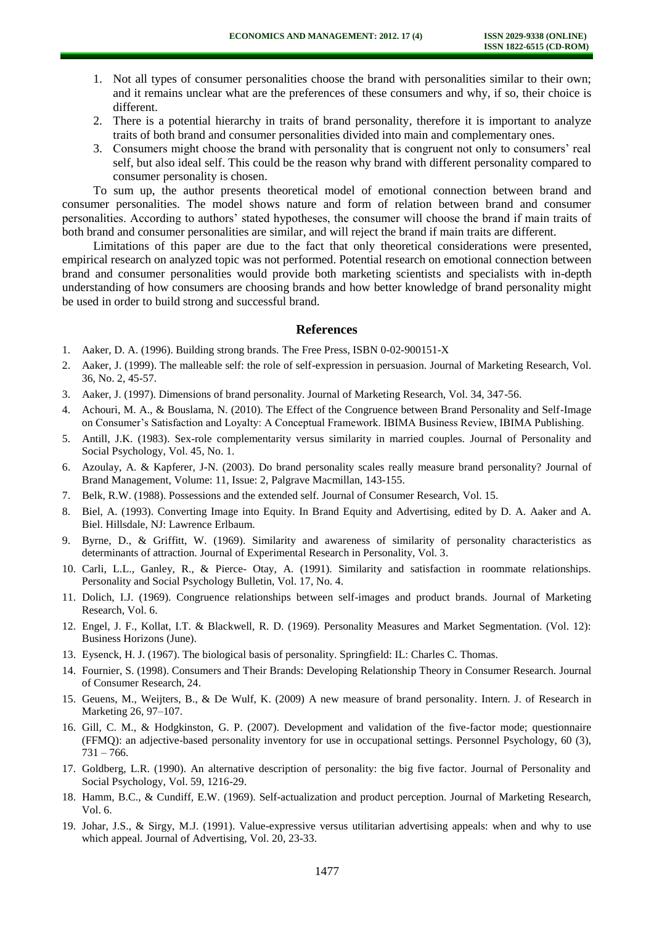- 1. Not all types of consumer personalities choose the brand with personalities similar to their own; and it remains unclear what are the preferences of these consumers and why, if so, their choice is different.
- 2. There is a potential hierarchy in traits of brand personality, therefore it is important to analyze traits of both brand and consumer personalities divided into main and complementary ones.
- 3. Consumers might choose the brand with personality that is congruent not only to consumers' real self, but also ideal self. This could be the reason why brand with different personality compared to consumer personality is chosen.

To sum up, the author presents theoretical model of emotional connection between brand and consumer personalities. The model shows nature and form of relation between brand and consumer personalities. According to authors' stated hypotheses, the consumer will choose the brand if main traits of both brand and consumer personalities are similar, and will reject the brand if main traits are different.

Limitations of this paper are due to the fact that only theoretical considerations were presented, empirical research on analyzed topic was not performed. Potential research on emotional connection between brand and consumer personalities would provide both marketing scientists and specialists with in-depth understanding of how consumers are choosing brands and how better knowledge of brand personality might be used in order to build strong and successful brand.

#### **References**

- 1. Aaker, D. A. (1996). Building strong brands. The Free Press, ISBN 0-02-900151-X
- 2. Aaker, J. (1999). The malleable self: the role of self-expression in persuasion. Journal of Marketing Research, Vol. 36, No. 2, 45-57.
- 3. Aaker, J. (1997). Dimensions of brand personality. Journal of Marketing Research, Vol. 34, 347-56.
- 4. Achouri, M. A., & Bouslama, N. (2010). The Effect of the Congruence between Brand Personality and Self-Image on Consumer's Satisfaction and Loyalty: A Conceptual Framework. IBIMA Business Review, IBIMA Publishing.
- 5. Antill, J.K. (1983). Sex-role complementarity versus similarity in married couples. Journal of Personality and Social Psychology, Vol. 45, No. 1.
- 6. Azoulay, A. & Kapferer, J-N. (2003). Do brand personality scales really measure brand personality? Journal of Brand Management, Volume: 11, Issue: 2, Palgrave Macmillan, 143-155.
- 7. Belk, R.W. (1988). Possessions and the extended self. Journal of Consumer Research, Vol. 15.
- 8. Biel, A. (1993). Converting Image into Equity. In Brand Equity and Advertising, edited by D. A. Aaker and A. Biel. Hillsdale, NJ: Lawrence Erlbaum.
- 9. Byrne, D., & Griffitt, W. (1969). Similarity and awareness of similarity of personality characteristics as determinants of attraction. Journal of Experimental Research in Personality, Vol. 3.
- 10. Carli, L.L., Ganley, R., & Pierce- Otay, A. (1991). Similarity and satisfaction in roommate relationships. Personality and Social Psychology Bulletin, Vol. 17, No. 4.
- 11. Dolich, I.J. (1969). Congruence relationships between self-images and product brands. Journal of Marketing Research, Vol. 6.
- 12. Engel, J. F., Kollat, I.T. & Blackwell, R. D. (1969). Personality Measures and Market Segmentation. (Vol. 12): Business Horizons (June).
- 13. Eysenck, H. J. (1967). The biological basis of personality. Springfield: IL: Charles C. Thomas.
- 14. Fournier, S. (1998). Consumers and Their Brands: Developing Relationship Theory in Consumer Research. Journal of Consumer Research, 24.
- 15. Geuens, M., Weijters, B., & De Wulf, K. (2009) A new measure of brand personality. Intern. J. of Research in Marketing 26, 97–107.
- 16. Gill, C. M., & Hodgkinston, G. P. (2007). Development and validation of the five-factor mode; questionnaire (FFMQ): an adjective-based personality inventory for use in occupational settings. Personnel Psychology, 60 (3),  $731 - 766.$
- 17. Goldberg, L.R. (1990). An alternative description of personality: the big five factor. Journal of Personality and Social Psychology, Vol. 59, 1216-29.
- 18. Hamm, B.C., & Cundiff, E.W. (1969). Self-actualization and product perception. Journal of Marketing Research, Vol. 6.
- 19. Johar, J.S., & Sirgy, M.J. (1991). Value-expressive versus utilitarian advertising appeals: when and why to use which appeal. Journal of Advertising, Vol. 20, 23-33.